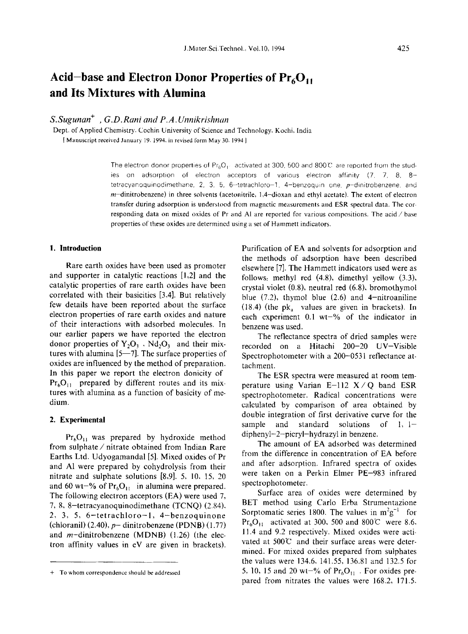# **Acid-base and Electron Donor Properties of Pr6011 and Its Mixtures with Alumina**

# *SiSugunan"* , *G.D.Rani and P.A.Unnikrishnan*

Dept. of Applied Chemistry. Cochin University of Science and Technology. Kochi, India

[Manuscript received January 19. 1994. in revised form May 30.1994 J

The electron donor properties of  $Pr_6O_1$  activated at 300, 500 and 800°C are reported from the studies on adsorption of electron acceptors of various electron affinity (7. 7, 8, 8 tetracyanoquinodimethane. 2, 3, 5, 6-tetrachloro-1, 4-benzoquin one.  $p$ -dinitrobenzene. and  $m$ -dinitrobenzene) in three solvents (acetonitrile, 1,4-dioxan and ethyl acetate). The extent of electron transfer during adsorption is understood from magnetic measurements and ESR spectral data. The corresponding data on mixed oxides of Pr and Al are reported for various compositions. The acid  $\angle$  base properties of these oxides are determined using a set of Hammett indicators,

## **1. Introduction**

Rare earth oxides have been used as promoter and supporter in catalytic reactions [1,2] and the catalytic properties of rare earth oxides have been correlated with their basicities [3.4]. But relatively few details have been reported about the surface electron properties of rare earth oxides and nature of their interactions with adsorbed molecules. In our earlier papers we have reported the electron donor properties of  $Y_2O_3$ ,  $Nd_2O_3$  and their mixtures with alumina  $[5-7]$ . The surface properties of oxides are influenced by the method of preparation. In this paper we report the electron donicity of  $Pr<sub>6</sub>O<sub>11</sub>$  prepared by different routes and its mixtures with alumina as a function of basicity of medium.

#### **2. Experimental**

 $Pr<sub>6</sub>O<sub>11</sub>$  was prepared by hydroxide method from sulphate / nitrate obtained from Indian Rare Earths Ltd. Udyogamandal [5]. Mixed oxides of Pr and Al were prepared by cohydrolysis from their nitrate and sulphate solutions [8,9]. 5, 10. 15, 20 and 60 wt-% of  $Pr_6O_{11}$  in alumina were prepared. The following electron acceptors (EA) were used 7, 7, 8, 8-tetracyanoquinodimethane (TCNQ) (2,84). 2, 3, 5, 6-tetrachloro-l, 4-benzoquinone (chloranil)  $(2.40)$ ,  $p-$  dinitrobenzene (PDNB)  $(1.77)$ and  $m$ -dinitrobenzene (MDNB) (1.26) (the electron affinity values in eV are given in brackets). Purification of EA and solvents for adsorption and the methods of adsorption have been described elsewhere [7]. The Hammett indicators used were as follows: methyl red (4.8), dimethyl yellow (3.3), crystal violet (0,8), neutral red (6.8), bromothymol blue  $(7.2)$ , thymol blue  $(2.6)$  and 4-nitroaniline (18.4) (the  $pk_a$  values are given in brackets). In each experiment  $0.1$  wt-% of the indicator in benzene was used,

The reflectance spectra of dried samples were recorded on a Hitachi 200-20 UV-Visible Spectrophotometer with a 200-0531 reflectance attachment.

The ESR spectra were measured at room temperature using Varian  $E-112$   $X/Q$  band ESR spectrophotometer. Radical concentrations were calculated by comparison of area obtained by double integration of first derivative curve for the sample and standard solutions of  $1, 1$ diphenyl-2-picryl-hydrazyl in benzene.

The amount of EA adsorbed was determined from the difference in concentration of EA before and after adsorption. Infrared spectra of oxides were taken on a Perkin Elmer PE-983 infrared spectrophotometer.

Surface area of oxides were determined by BET method using Carlo Erba Strumentazione Sorptomatic series 1800. The values in  $m^2 g^{-1}$  for  $Pr_6O_{11}$  activated at 300, 500 and 800°C were 8.6. 11.4 and 9.2 respectively. Mixed oxides were activated at  $500^{\circ}\text{C}$  and their surface areas were determined. For mixed oxides prepared from sulphates the values were 134.6. 141.55, 136.81 and 132,5 for 5, 10, 15 and 20 wt-% of  $Pr<sub>6</sub>O<sub>11</sub>$ . For oxides prepared from nitrates the values were 168.2, 171.5.

<sup>+</sup> To whom correspondence should be addressed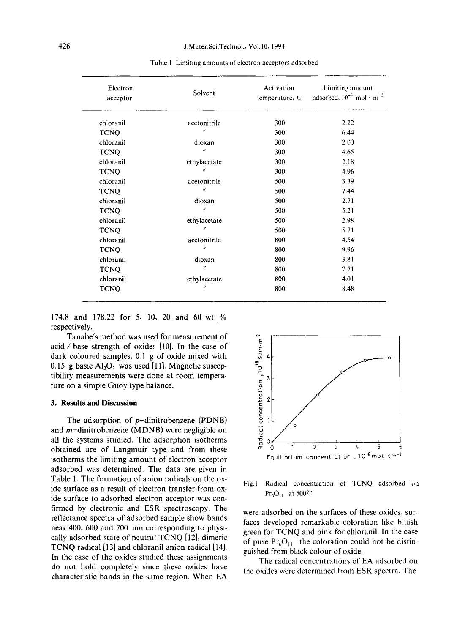| Electron<br>acceptor | Solvent                    | Activation<br>temperature, C | Limiting amount<br>adsorbed, $10^{-5}$ mol · m <sup>2</sup> |  |  |
|----------------------|----------------------------|------------------------------|-------------------------------------------------------------|--|--|
| chloranil            | acetonitrile               | 300                          | 2.22                                                        |  |  |
| <b>TCNQ</b>          | $\boldsymbol{\mathcal{U}}$ | 300                          | 6.44                                                        |  |  |
| chloranil            | dioxan                     | 300                          | 2.00                                                        |  |  |
| <b>TCNQ</b>          | $\boldsymbol{\eta}$        | 300                          | 4.65                                                        |  |  |
| chloranil            | ethylacetate               | 300                          | 2.18                                                        |  |  |
| <b>TCNQ</b>          | $^{\prime\prime}$          | 300                          | 4.96                                                        |  |  |
| chloranil            | acetonitrile               | 500                          | 3.39                                                        |  |  |
| <b>TCNQ</b>          | $\boldsymbol{u}$           | 500                          | 7.44                                                        |  |  |
| chloranil            | dioxan                     | 500                          | 2.71                                                        |  |  |
| <b>TCNQ</b>          | $^{\prime\prime}$          | 500                          | 5.21                                                        |  |  |
| chloranil            | ethylacetate               | 500                          | 2.98                                                        |  |  |
| <b>TCNQ</b>          | $\boldsymbol{u}$           | 500                          | 5.71                                                        |  |  |
| chloranil            | acetonitrile               | 800                          | 4.54                                                        |  |  |
| <b>TCNQ</b>          | $^{\prime\prime}$          | 800                          | 9.96                                                        |  |  |
| chloranil            | dioxan                     | 800                          | 3.81                                                        |  |  |
| <b>TCNQ</b>          | $^{\prime\prime}$          | 800                          | 7.71                                                        |  |  |
| chloranil            | ethylacetate               | 800                          | 4.01                                                        |  |  |
| <b>TCNQ</b>          | $\boldsymbol{u}$           | 800                          | 8.48                                                        |  |  |

Table I Limiting amounts of electron acceptors adsorbed

174.8 and 178.22 for 5, 10, 20 and 60 wt- $\%$ respectively.

Tanabe's method was used for measurement of acid / base strength of oxides [10). In the case of dark coloured samples, 0.1 g of oxide mixed with 0.15 g basic  $Al_2O_3$  was used [11]. Magnetic susceptibility measurements were done at room temperature on a simple Guoy type balance.

#### 3. **Results and Discussion**

The adsorption of  $p$ -dinitrobenzene (PDNB) and m-dinitrobenzene (MDNB) were negligible on all the systems studied. The adsorption isotherms obtained are of Langmuir type and from these isotherms the limiting amount of electron acceptor adsorbed was determined. The data are given in Table 1. The formation of anion radicals on the oxide surface as a result of electron transfer from oxide surface to adsorbed electron acceptor was confirmed by electronic and ESR spectroscopy. The reflectance spectra of adsorbed sample show bands near 400, 600 and 700 nm corresponding to physically adsorbed state of neutral TCNQ [12], dimeric TCNQ radical [13] and chloranil anion radical [14]. In the case of the oxides studied these assignments do not hold completely since these oxides have characteristic bands in the same region. When EA



Fig.1 Radical concentration of TCNQ adsorbed on  $Pr_6O_{11}$  at 500°C

were adsorbed on the surfaces of these oxides, surfaces developed remarkable coloration like bluish green for TCNQ and pink for chloranil. In the case of pure  $Pr_6O_{11}$  the coloration could not be distinguished from black colour of oxide.

The radical concentrations of EA adsorbed on the oxides were determined from ESR spectra. The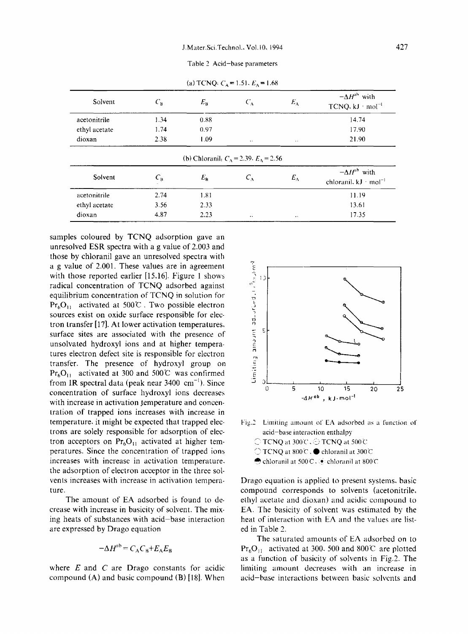Table 2 Acid-base parameters

| Solvent       | $C_{\rm B}$        | $E_{\rm B}$                                               | $C_A$         | $E_A$         | $-\Delta H^{ab}$ with<br>$TCNQ, kJ \cdot mol^{-1}$          |
|---------------|--------------------|-----------------------------------------------------------|---------------|---------------|-------------------------------------------------------------|
| acetonitrile  | 1.34               | 0.88                                                      |               |               | 14.74                                                       |
| ethyl acetate | 1.74               | 0.97                                                      |               |               | 17.90                                                       |
| dioxan        | 2.38               | 1.09                                                      | $\cdot$ .     | $\cdot$ .     | 21.90                                                       |
| Solvent       | $C_{\mathfrak{b}}$ | (b) Chloranil, $C_A = 2.39$ . $E_A = 2.56$<br>$E_{\rm B}$ | $C_{\Lambda}$ | $E_{\Lambda}$ | $-\Delta H^{\rm ab}$ with<br>chloranil. $kJ \cdot mol^{-1}$ |
| acetonitrile  | 2.74               | 1.81                                                      |               |               | 11.19                                                       |
| ethyl acetate | 3.56               | 2.33                                                      |               |               | 13.61                                                       |
|               |                    |                                                           |               |               |                                                             |

(a) TCNQ:  $C_A = 1.51$ ,  $E_A = 1.68$ 

samples coloured by TCNQ adsorption gave an unresolved ESR spectra with a g value of 2.003 and those by chloranil gave an unresolved spectra with a g value of 2.001. These values are in agreement with those reported earlier [15,16]. Figure 1 shows radical concentration of TCNQ adsorbed against equilibrium concentration of TCNQ in solution for  $Pr_6O_{11}$  activated at 500°C. Two possible electron sources exist on oxide surface responsible for electron transfer [17]. At lower activation temperatures, surface sites are associated with the presence of unsolvated hydroxyl ions and at higher temperatures electron defect site is responsible for electron transfer. The presence of hydroxyl group on  $Pr_6O_{11}$  activated at 300 and 500°C was confirmed from IR spectral data (peak near  $3400 \text{ cm}^{-1}$ ). Since concentration of surface hydroxyl ions decreases with increase in activation temperature and concentration of trapped ions increases with increase in temperature. it might be expected that trapped electrons are solely responsible for adsorption of electron acceptors on  $Pr_6O_{11}$  activated at higher temperatures. Since the concentration of trapped ions increases with increase in activation temperature. the adsorption of electron acceptor in the three solvents increases with increase in activation temperature.

The amount of EA adsorbed is found to decrease with increase in basicity of solvent. The mixing heats of substances with acid-base interaction are expressed by Drago equation

$$
-\Delta H^{\rm ab} = C_{\rm A} C_{\rm B} + E_{\rm A} E_{\rm B}
$$

where *E* and *C* are Drago constants for acidic compound (A) and basic compound (B) [18]. When



Fig.2 Limiting amount of EA adsorbed as a function of acid-base interaction enrhalpy

- TCNQ <It *300e,* TCNQ at soot
- $\bigcirc$  TCNQ at 800 C ,  $\bigcirc$  chloranil at 300 C
- $\bigcirc$  chloranil at 500°C .  $\bullet$  chloranil at 800°C

Drago equation is applied to present systems, basic compound corresponds to solvents (acetonitrile, ethyl acetate and dioxan) and acidic compound to EA. The basicity of solvent was estimated by the heat of interaction with EA and the values are listed in Table 2.

The saturated amounts of EA adsorbed on to  $Pr_6O_{11}$  activated at 300, 500 and 800°C are plotted as a function of basicity of solvents in Fig.2. The limiting amount decreases with an increase in acid-base interactions between basic solvents and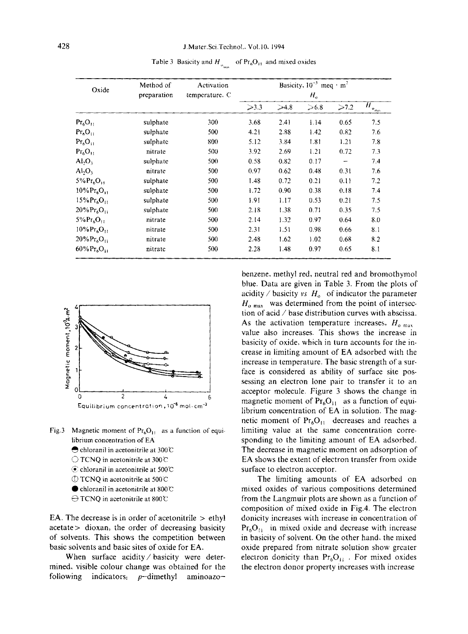| Oxide                                  | Method of   | Activation<br>temperature. C | Basicity, $10^{-3}$ meq · m <sup>2</sup> |      |      |      |                                        |
|----------------------------------------|-------------|------------------------------|------------------------------------------|------|------|------|----------------------------------------|
|                                        | preparation |                              | $H_{\rm o}$                              |      |      |      |                                        |
|                                        |             |                              | $\geqslant$ 3.3                          | >4.8 | >6.8 | >7.2 | $H_{\underbrace{\mathfrak{o}_{\max}}}$ |
| $Pr_6O_{11}$                           | sulphate    | 300                          | 3.68                                     | 2.41 | 1.14 | 0.65 | 7.5                                    |
| $Pr_6O_{11}$                           | sulphate    | 500                          | 4.21                                     | 2.88 | 1.42 | 0.82 | 7.6                                    |
| Pr <sub>6</sub> O <sub>11</sub>        | sulphate    | 800                          | 5.12                                     | 3.84 | 1.81 | 1.21 | 7.8                                    |
| Pr <sub>6</sub> O <sub>11</sub>        | nitrate     | 500                          | 3.92                                     | 2.69 | 1.21 | 0.72 | 7.3                                    |
| $\text{Al}_2\text{O}_3$                | sulphate    | 500                          | 0.58                                     | 0.82 | 0.17 |      | 7.4                                    |
| Al <sub>2</sub> O <sub>3</sub>         | nitrate     | 500                          | 0.97                                     | 0.62 | 0.48 | 0.31 | 7.6                                    |
| $5\%$ $Pr_6O_{11}$                     | sulphate    | 500                          | 1.48                                     | 0.72 | 0.21 | 0.11 | 7.2                                    |
| $10\%$ $Pr_6O_{11}$                    | sulphate    | 500                          | 1.72                                     | 0.90 | 0.38 | 0.18 | 7.4                                    |
| $15\%$ Pr <sub>6</sub> O <sub>11</sub> | sulphate    | 500                          | 1.91                                     | 1.17 | 0.53 | 0.21 | 7.5                                    |
| $20\%Pr_{6}O_{11}$                     | sulphate    | 500                          | 2.18                                     | 1.38 | 0.71 | 0.35 | 7.5                                    |
| $5\%$ Pr <sub>6</sub> O <sub>11</sub>  | nitrate     | 500                          | 2.14                                     | 1.32 | 0.97 | 0.64 | 8.0                                    |
| $10\%$ Pr <sub>6</sub> O <sub>11</sub> | nitrate     | 500                          | 2.31                                     | 1.51 | 0.98 | 0.66 | 8.1                                    |
| $20\%Pr_{6}O_{11}$                     | nitrate     | 500                          | 2.48                                     | 1.62 | 1.02 | 0.68 | 8.2                                    |
| $60\%$ $Pr_6O_{11}$                    | nitrate     | 500                          | 2.28                                     | 1.48 | 0.97 | 0.65 | 8.1                                    |

Table 3 Basicity and  $H_{o_{max}}$  of  $Pr_6O_{11}$  and mixed oxides



- Fig.3 Magnetic moment of  $Pr_6O_{11}$  as a function of equilibrium concentration of EA
	- chloranil in acetonitrile at 300℃
	- ◯ TCNQ in acetonitrile at 300℃
	- C chloranil in acetonitrile at 500°C
	- ① TCNQ in acetonitrile at 500℃
	- chloranil in acetonitrile at 800°C
	- $\ominus$  TCNQ in acetonitrile at 800°C

EA. The decrease is in order of acetonitrile  $>$  ethyl acetate > dioxan, the order of decreasing basicity of solvents. This shows the competition between basic solvents and basic sites of oxide for EA.

When surface acidity / basicity were determined, visible colour change was obtained for the indicators.  $p$ -dimethyl following aminoazobenzene, methyl red, neutral red and bromothymol blue. Data are given in Table 3. From the plots of acidity / basicity vs  $H_0$  of indicator the parameter  $H_{\text{o,max}}$  was determined from the point of intersection of acid  $\diagup$  base distribution curves with abscissa. As the activation temperature increases,  $H_{\alpha \text{ max}}$ value also increases. This shows the increase in basicity of oxide, which in turn accounts for the increase in limiting amount of EA adsorbed with the increase in temperature. The basic strength of a surface is considered as ability of surface site possessing an electron lone pair to transfer it to an acceptor molecule. Figure 3 shows the change in magnetic moment of  $Pr_6O_{11}$  as a function of equilibrium concentration of EA in solution. The magnetic moment of  $Pr<sub>6</sub>O<sub>11</sub>$  decreases and reaches a limiting value at the same concentration corresponding to the limiting amount of EA adsorbed. The decrease in magnetic moment on adsorption of EA shows the extent of electron transfer from oxide surface to electron acceptor.

The limiting amounts of EA adsorbed on mixed oxides of various compositions determined from the Langmuir plots are shown as a function of composition of mixed oxide in Fig.4. The electron donicity increases with increase in concentration of  $Pr_6O_{11}$  in mixed oxide and decrease with increase in basicity of solvent. On the other hand, the mixed oxide prepared from nitrate solution show greater electron donicity than  $Pr_6O_{11}$ . For mixed oxides the electron donor property increases with increase